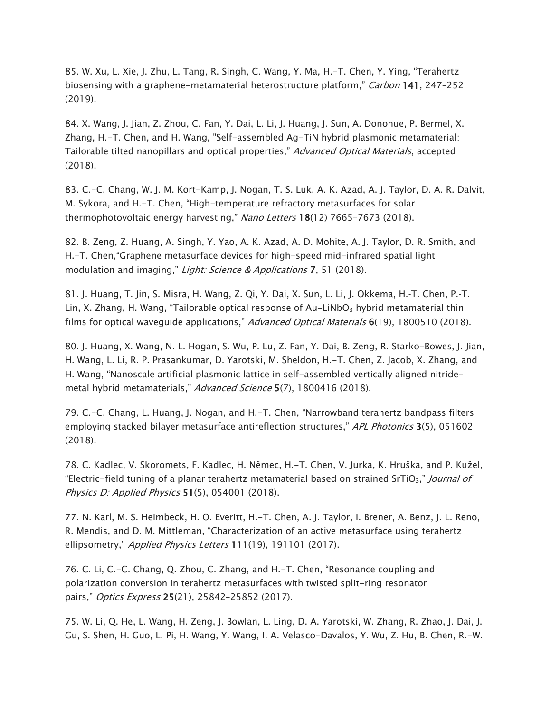85. W. Xu, L. Xie, J. Zhu, L. Tang, R. Singh, C. Wang, Y. Ma, H.-T. Chen, Y. Ying, "Terahertz biosensing with a graphene-metamaterial heterostructure platform," Carbon 141, 247-252 (2019).

84. X. Wang, J. Jian, Z. Zhou, C. Fan, Y. Dai, L. Li, J. Huang, J. Sun, A. Donohue, P. Bermel, X. Zhang, H.-T. Chen, and H. Wang, "Self-assembled Ag-TiN hybrid plasmonic metamaterial: Tailorable tilted nanopillars and optical properties," Advanced Optical Materials, accepted (2018).

83. C.-C. Chang, W. J. M. Kort-Kamp, J. Nogan, T. S. Luk, A. K. Azad, A. J. Taylor, D. A. R. Dalvit, M. Sykora, and H.-T. Chen, "High-temperature refractory metasurfaces for solar thermophotovoltaic energy harvesting," Nano Letters 18(12) 7665-7673 (2018).

82. B. Zeng, Z. Huang, A. Singh, Y. Yao, A. K. Azad, A. D. Mohite, A. J. Taylor, D. R. Smith, and H.-T. Chen,"Graphene metasurface devices for high-speed mid-infrared spatial light modulation and imaging," Light: Science & Applications 7, 51 (2018).

81. J. Huang, T. Jin, S. Misra, H. Wang, Z. Qi, Y. Dai, X. Sun, L. Li, J. Okkema, H.‐T. Chen, P.‐T. Lin, X. Zhang, H. Wang, "Tailorable optical response of Au-LiNbO<sub>3</sub> hybrid metamaterial thin films for optical waveguide applications," Advanced Optical Materials 6(19), 1800510 (2018).

80. J. Huang, X. Wang, N. L. Hogan, S. Wu, P. Lu, Z. Fan, Y. Dai, B. Zeng, R. Starko-Bowes, J. Jian, H. Wang, L. Li, R. P. Prasankumar, D. Yarotski, M. Sheldon, H.-T. Chen, Z. Jacob, X. Zhang, and H. Wang, "Nanoscale artificial plasmonic lattice in self-assembled vertically aligned nitridemetal hybrid metamaterials," Advanced Science 5(7), 1800416 (2018).

79. C.-C. Chang, L. Huang, J. Nogan, and H.-T. Chen, "Narrowband terahertz bandpass filters employing stacked bilayer metasurface antireflection structures," APL Photonics 3(5), 051602 (2018).

78. C. Kadlec, V. Skoromets, F. Kadlec, H. Němec, H.-T. Chen, V. Jurka, K. Hruška, and P. Kužel, "Electric-field tuning of a planar terahertz metamaterial based on strained SrTiO<sub>3</sub>," *Journal of* Physics D: Applied Physics 51(5), 054001 (2018).

77. N. Karl, M. S. Heimbeck, H. O. Everitt, H.-T. Chen, A. J. Taylor, I. Brener, A. Benz, J. L. Reno, R. Mendis, and D. M. Mittleman, "Characterization of an active metasurface using terahertz ellipsometry," Applied Physics Letters 111(19), 191101 (2017).

76. C. Li, C.-C. Chang, Q. Zhou, C. Zhang, and H.-T. Chen, "Resonance coupling and polarization conversion in terahertz metasurfaces with twisted split-ring resonator pairs," Optics Express 25(21), 25842–25852 (2017).

75. W. Li, Q. He, L. Wang, H. Zeng, J. Bowlan, L. Ling, D. A. Yarotski, W. Zhang, R. Zhao, J. Dai, J. Gu, S. Shen, H. Guo, L. Pi, H. Wang, Y. Wang, I. A. Velasco-Davalos, Y. Wu, Z. Hu, B. Chen, R.-W.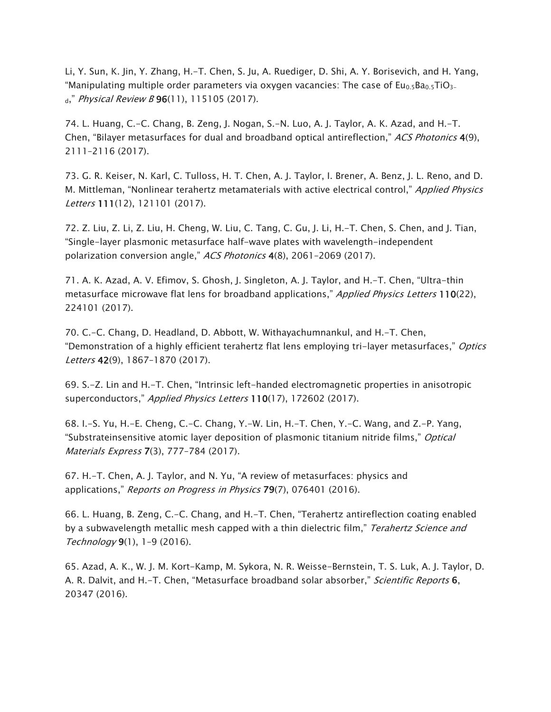Li, Y. Sun, K. Jin, Y. Zhang, H.-T. Chen, S. Ju, A. Ruediger, D. Shi, A. Y. Borisevich, and H. Yang, "Manipulating multiple order parameters via oxygen vacancies: The case of  $Eu<sub>0.5</sub>Ba<sub>0.5</sub>TiO<sub>3-</sub>$  $_{d}$ ," Physical Review B 96(11), 115105 (2017).

74. L. Huang, C.-C. Chang, B. Zeng, J. Nogan, S.-N. Luo, A. J. Taylor, A. K. Azad, and H.-T. Chen, "Bilayer metasurfaces for dual and broadband optical antireflection," ACS Photonics 4(9), 2111–2116 (2017).

73. G. R. Keiser, N. Karl, C. Tulloss, H. T. Chen, A. J. Taylor, I. Brener, A. Benz, J. L. Reno, and D. M. Mittleman, "Nonlinear terahertz metamaterials with active electrical control," Applied Physics Letters 111(12), 121101 (2017).

72. Z. Liu, Z. Li, Z. Liu, H. Cheng, W. Liu, C. Tang, C. Gu, J. Li, H.-T. Chen, S. Chen, and J. Tian, "Single-layer plasmonic metasurface half-wave plates with wavelength-independent polarization conversion angle," ACS Photonics 4(8), 2061-2069 (2017).

71. A. K. Azad, A. V. Efimov, S. Ghosh, J. Singleton, A. J. Taylor, and H.-T. Chen, "Ultra-thin metasurface microwave flat lens for broadband applications," Applied Physics Letters 110(22), 224101 (2017).

70. C.-C. Chang, D. Headland, D. Abbott, W. Withayachumnankul, and H.-T. Chen, "Demonstration of a highly efficient terahertz flat lens employing tri-layer metasurfaces," Optics Letters 42(9), 1867–1870 (2017).

69. S.-Z. Lin and H.-T. Chen, "Intrinsic left-handed electromagnetic properties in anisotropic superconductors," Applied Physics Letters 110(17), 172602 (2017).

68. I.-S. Yu, H.-E. Cheng, C.-C. Chang, Y.-W. Lin, H.-T. Chen, Y.-C. Wang, and Z.-P. Yang, "Substrateinsensitive atomic layer deposition of plasmonic titanium nitride films," Optical Materials Express 7(3), 777–784 (2017).

67. H.-T. Chen, A. J. Taylor, and N. Yu, "A review of metasurfaces: physics and applications," Reports on Progress in Physics 79(7), 076401 (2016).

66. L. Huang, B. Zeng, C.-C. Chang, and H.-T. Chen, "Terahertz antireflection coating enabled by a subwavelength metallic mesh capped with a thin dielectric film," Terahertz Science and Technology 9(1), 1–9 (2016).

65. Azad, A. K., W. J. M. Kort-Kamp, M. Sykora, N. R. Weisse-Bernstein, T. S. Luk, A. J. Taylor, D. A. R. Dalvit, and H.-T. Chen, "Metasurface broadband solar absorber," Scientific Reports 6, 20347 (2016).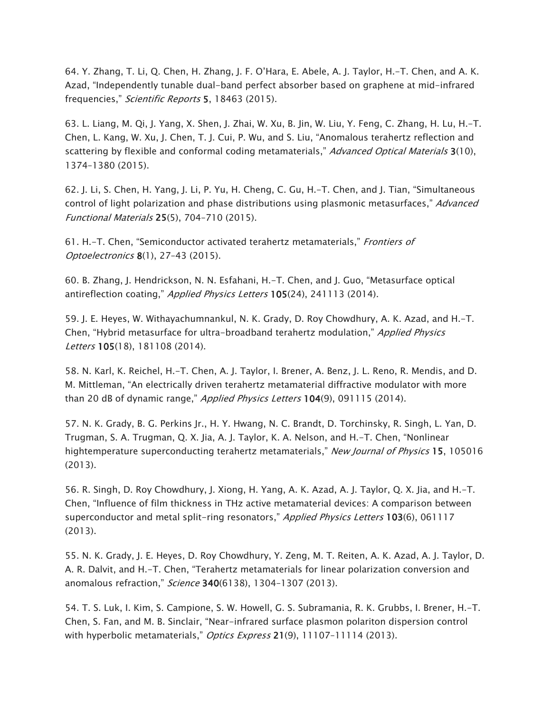64. Y. Zhang, T. Li, Q. Chen, H. Zhang, J. F. O'Hara, E. Abele, A. J. Taylor, H.-T. Chen, and A. K. Azad, "Independently tunable dual-band perfect absorber based on graphene at mid-infrared frequencies," Scientific Reports 5, 18463 (2015).

63. L. Liang, M. Qi, J. Yang, X. Shen, J. Zhai, W. Xu, B. Jin, W. Liu, Y. Feng, C. Zhang, H. Lu, H.-T. Chen, L. Kang, W. Xu, J. Chen, T. J. Cui, P. Wu, and S. Liu, "Anomalous terahertz reflection and scattering by flexible and conformal coding metamaterials," Advanced Optical Materials 3(10), 1374–1380 (2015).

62. J. Li, S. Chen, H. Yang, J. Li, P. Yu, H. Cheng, C. Gu, H.-T. Chen, and J. Tian, "Simultaneous control of light polarization and phase distributions using plasmonic metasurfaces," Advanced Functional Materials 25(5), 704–710 (2015).

61. H.-T. Chen, "Semiconductor activated terahertz metamaterials," Frontiers of Optoelectronics 8(1), 27–43 (2015).

60. B. Zhang, J. Hendrickson, N. N. Esfahani, H.-T. Chen, and J. Guo, "Metasurface optical antireflection coating," *Applied Physics Letters* 105(24), 241113 (2014).

59. J. E. Heyes, W. Withayachumnankul, N. K. Grady, D. Roy Chowdhury, A. K. Azad, and H.-T. Chen, "Hybrid metasurface for ultra-broadband terahertz modulation," Applied Physics Letters 105(18), 181108 (2014).

58. N. Karl, K. Reichel, H.-T. Chen, A. J. Taylor, I. Brener, A. Benz, J. L. Reno, R. Mendis, and D. M. Mittleman, "An electrically driven terahertz metamaterial diffractive modulator with more than 20 dB of dynamic range," *Applied Physics Letters* 104(9), 091115 (2014).

57. N. K. Grady, B. G. Perkins Jr., H. Y. Hwang, N. C. Brandt, D. Torchinsky, R. Singh, L. Yan, D. Trugman, S. A. Trugman, Q. X. Jia, A. J. Taylor, K. A. Nelson, and H.-T. Chen, "Nonlinear hightemperature superconducting terahertz metamaterials," New Journal of Physics 15, 105016 (2013).

56. R. Singh, D. Roy Chowdhury, J. Xiong, H. Yang, A. K. Azad, A. J. Taylor, Q. X. Jia, and H.-T. Chen, "Influence of film thickness in THz active metamaterial devices: A comparison between superconductor and metal split-ring resonators," Applied Physics Letters 103(6), 061117 (2013).

55. N. K. Grady, J. E. Heyes, D. Roy Chowdhury, Y. Zeng, M. T. Reiten, A. K. Azad, A. J. Taylor, D. A. R. Dalvit, and H.-T. Chen, "Terahertz metamaterials for linear polarization conversion and anomalous refraction," Science 340(6138), 1304-1307 (2013).

54. T. S. Luk, I. Kim, S. Campione, S. W. Howell, G. S. Subramania, R. K. Grubbs, I. Brener, H.-T. Chen, S. Fan, and M. B. Sinclair, "Near-infrared surface plasmon polariton dispersion control with hyperbolic metamaterials," Optics Express 21(9), 11107-11114 (2013).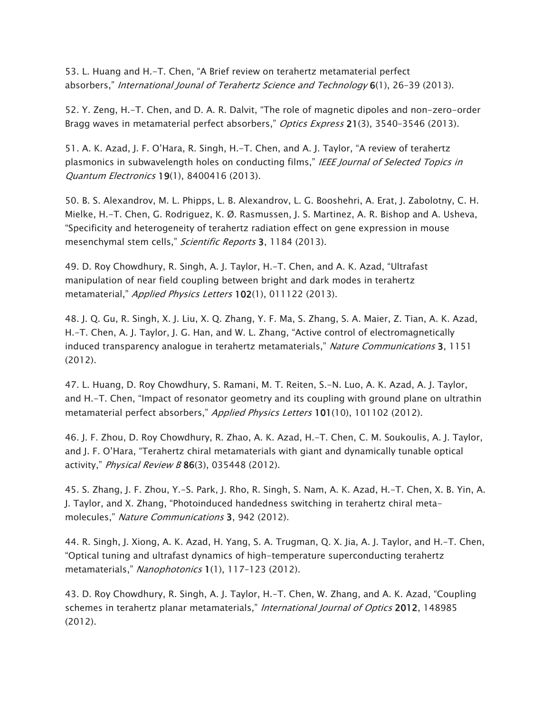53. L. Huang and H.-T. Chen, "A Brief review on terahertz metamaterial perfect absorbers," International Jounal of Terahertz Science and Technology 6(1), 26-39 (2013).

52. Y. Zeng, H.-T. Chen, and D. A. R. Dalvit, "The role of magnetic dipoles and non-zero-order Bragg waves in metamaterial perfect absorbers," Optics Express 21(3), 3540-3546 (2013).

51. A. K. Azad, J. F. O'Hara, R. Singh, H.-T. Chen, and A. J. Taylor, "A review of terahertz plasmonics in subwavelength holes on conducting films," IEEE Journal of Selected Topics in Quantum Electronics 19(1), 8400416 (2013).

50. B. S. Alexandrov, M. L. Phipps, L. B. Alexandrov, L. G. Booshehri, A. Erat, J. Zabolotny, C. H. Mielke, H.-T. Chen, G. Rodriguez, K. Ø. Rasmussen, J. S. Martinez, A. R. Bishop and A. Usheva, "Specificity and heterogeneity of terahertz radiation effect on gene expression in mouse mesenchymal stem cells," Scientific Reports 3, 1184 (2013).

49. D. Roy Chowdhury, R. Singh, A. J. Taylor, H.-T. Chen, and A. K. Azad, "Ultrafast manipulation of near field coupling between bright and dark modes in terahertz metamaterial," Applied Physics Letters 102(1), 011122 (2013).

48. J. Q. Gu, R. Singh, X. J. Liu, X. Q. Zhang, Y. F. Ma, S. Zhang, S. A. Maier, Z. Tian, A. K. Azad, H.-T. Chen, A. J. Taylor, J. G. Han, and W. L. Zhang, "Active control of electromagnetically induced transparency analogue in terahertz metamaterials," Nature Communications 3, 1151 (2012).

47. L. Huang, D. Roy Chowdhury, S. Ramani, M. T. Reiten, S.-N. Luo, A. K. Azad, A. J. Taylor, and H.-T. Chen, "Impact of resonator geometry and its coupling with ground plane on ultrathin metamaterial perfect absorbers," Applied Physics Letters 101(10), 101102 (2012).

46. J. F. Zhou, D. Roy Chowdhury, R. Zhao, A. K. Azad, H.-T. Chen, C. M. Soukoulis, A. J. Taylor, and J. F. O'Hara, "Terahertz chiral metamaterials with giant and dynamically tunable optical activity," Physical Review B 86(3), 035448 (2012).

45. S. Zhang, J. F. Zhou, Y.-S. Park, J. Rho, R. Singh, S. Nam, A. K. Azad, H.-T. Chen, X. B. Yin, A. J. Taylor, and X. Zhang, "Photoinduced handedness switching in terahertz chiral metamolecules," Nature Communications 3, 942 (2012).

44. R. Singh, J. Xiong, A. K. Azad, H. Yang, S. A. Trugman, Q. X. Jia, A. J. Taylor, and H.-T. Chen, "Optical tuning and ultrafast dynamics of high-temperature superconducting terahertz metamaterials," Nanophotonics 1(1), 117-123 (2012).

43. D. Roy Chowdhury, R. Singh, A. J. Taylor, H.-T. Chen, W. Zhang, and A. K. Azad, "Coupling schemes in terahertz planar metamaterials," International Journal of Optics 2012, 148985 (2012).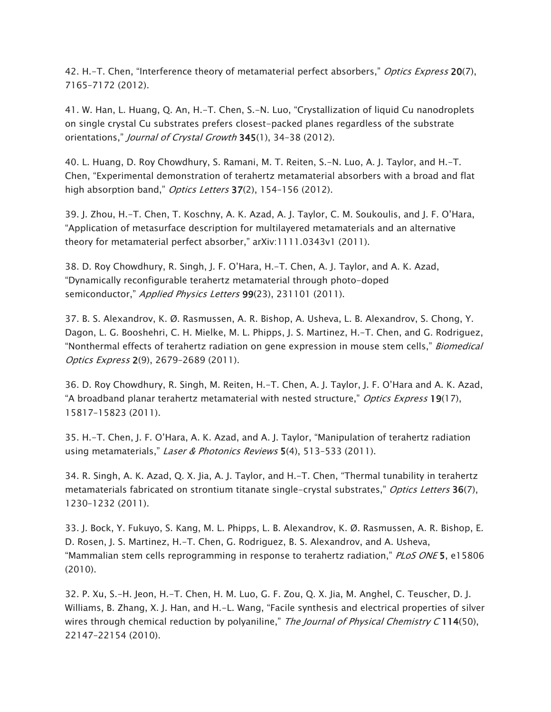42. H.–T. Chen, "Interference theory of metamaterial perfect absorbers," Optics Express 20(7), 7165–7172 (2012).

41. W. Han, L. Huang, Q. An, H.-T. Chen, S.-N. Luo, "Crystallization of liquid Cu nanodroplets on single crystal Cu substrates prefers closest-packed planes regardless of the substrate orientations," Journal of Crystal Growth 345(1), 34-38 (2012).

40. L. Huang, D. Roy Chowdhury, S. Ramani, M. T. Reiten, S.-N. Luo, A. J. Taylor, and H.-T. Chen, "Experimental demonstration of terahertz metamaterial absorbers with a broad and flat high absorption band," Optics Letters 37(2), 154-156 (2012).

39. J. Zhou, H.-T. Chen, T. Koschny, A. K. Azad, A. J. Taylor, C. M. Soukoulis, and J. F. O'Hara, "Application of metasurface description for multilayered metamaterials and an alternative theory for metamaterial perfect absorber," arXiv:1111.0343v1 (2011).

38. D. Roy Chowdhury, R. Singh, J. F. O'Hara, H.-T. Chen, A. J. Taylor, and A. K. Azad, "Dynamically reconfigurable terahertz metamaterial through photo-doped semiconductor," Applied Physics Letters 99(23), 231101 (2011).

37. B. S. Alexandrov, K. Ø. Rasmussen, A. R. Bishop, A. Usheva, L. B. Alexandrov, S. Chong, Y. Dagon, L. G. Booshehri, C. H. Mielke, M. L. Phipps, J. S. Martinez, H.-T. Chen, and G. Rodriguez, "Nonthermal effects of terahertz radiation on gene expression in mouse stem cells," *Biomedical* Optics Express 2(9), 2679–2689 (2011).

36. D. Roy Chowdhury, R. Singh, M. Reiten, H.-T. Chen, A. J. Taylor, J. F. O'Hara and A. K. Azad, "A broadband planar terahertz metamaterial with nested structure," *Optics Express* 19(17), 15817–15823 (2011).

35. H.-T. Chen, J. F. O'Hara, A. K. Azad, and A. J. Taylor, "Manipulation of terahertz radiation using metamaterials," Laser & Photonics Reviews 5(4), 513-533 (2011).

34. R. Singh, A. K. Azad, Q. X. Jia, A. J. Taylor, and H.-T. Chen, "Thermal tunability in terahertz metamaterials fabricated on strontium titanate single-crystal substrates," Optics Letters 36(7), 1230–1232 (2011).

33. J. Bock, Y. Fukuyo, S. Kang, M. L. Phipps, L. B. Alexandrov, K. Ø. Rasmussen, A. R. Bishop, E. D. Rosen, J. S. Martinez, H.-T. Chen, G. Rodriguez, B. S. Alexandrov, and A. Usheva, "Mammalian stem cells reprogramming in response to terahertz radiation," PLoS ONE 5, e15806 (2010).

32. P. Xu, S.-H. Jeon, H.-T. Chen, H. M. Luo, G. F. Zou, Q. X. Jia, M. Anghel, C. Teuscher, D. J. Williams, B. Zhang, X. J. Han, and H.-L. Wang, "Facile synthesis and electrical properties of silver wires through chemical reduction by polyaniline," The Journal of Physical Chemistry C 114(50), 22147–22154 (2010).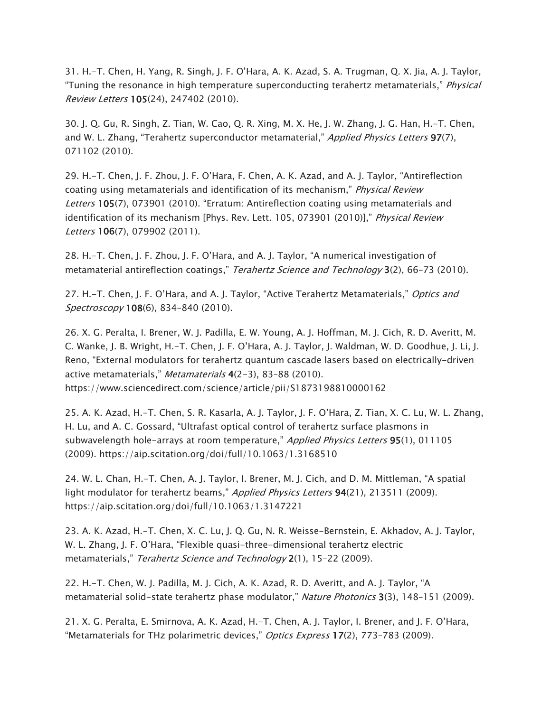31. H.-T. Chen, H. Yang, R. Singh, J. F. O'Hara, A. K. Azad, S. A. Trugman, Q. X. Jia, A. J. Taylor, "Tuning the resonance in high temperature superconducting terahertz metamaterials," *Physical* Review Letters 105(24), 247402 (2010).

30. J. Q. Gu, R. Singh, Z. Tian, W. Cao, Q. R. Xing, M. X. He, J. W. Zhang, J. G. Han, H.-T. Chen, and W. L. Zhang, "Terahertz superconductor metamaterial," Applied Physics Letters 97(7), 071102 (2010).

29. H.-T. Chen, J. F. Zhou, J. F. O'Hara, F. Chen, A. K. Azad, and A. J. Taylor, "Antireflection coating using metamaterials and identification of its mechanism," Physical Review Letters 105(7), 073901 (2010). "Erratum: Antireflection coating using metamaterials and identification of its mechanism [Phys. Rev. Lett. 105, 073901 (2010)]," Physical Review Letters 106(7), 079902 (2011).

28. H.-T. Chen, J. F. Zhou, J. F. O'Hara, and A. J. Taylor, "A numerical investigation of metamaterial antireflection coatings," Terahertz Science and Technology 3(2), 66-73 (2010).

27. H.–T. Chen, J. F. O'Hara, and A. J. Taylor, "Active Terahertz Metamaterials," Optics and Spectroscopy 108(6), 834-840 (2010).

26. X. G. Peralta, I. Brener, W. J. Padilla, E. W. Young, A. J. Hoffman, M. J. Cich, R. D. Averitt, M. C. Wanke, J. B. Wright, H.-T. Chen, J. F. O'Hara, A. J. Taylor, J. Waldman, W. D. Goodhue, J. Li, J. Reno, "External modulators for terahertz quantum cascade lasers based on electrically-driven active metamaterials," *Metamaterials* 4(2–3), 83–88 (2010). https://www.sciencedirect.com/science/article/pii/S1873198810000162

25. A. K. Azad, H.-T. Chen, S. R. Kasarla, A. J. Taylor, J. F. O'Hara, Z. Tian, X. C. Lu, W. L. Zhang, H. Lu, and A. C. Gossard, "Ultrafast optical control of terahertz surface plasmons in subwavelength hole-arrays at room temperature," Applied Physics Letters 95(1), 011105 (2009). https://aip.scitation.org/doi/full/10.1063/1.3168510

24. W. L. Chan, H.-T. Chen, A. J. Taylor, I. Brener, M. J. Cich, and D. M. Mittleman, "A spatial light modulator for terahertz beams," Applied Physics Letters 94(21), 213511 (2009). https://aip.scitation.org/doi/full/10.1063/1.3147221

23. A. K. Azad, H.-T. Chen, X. C. Lu, J. Q. Gu, N. R. Weisse-Bernstein, E. Akhadov, A. J. Taylor, W. L. Zhang, J. F. O'Hara, "Flexible quasi-three-dimensional terahertz electric metamaterials," Terahertz Science and Technology 2(1), 15-22 (2009).

22. H.-T. Chen, W. J. Padilla, M. J. Cich, A. K. Azad, R. D. Averitt, and A. J. Taylor, "A metamaterial solid-state terahertz phase modulator," Nature Photonics 3(3), 148-151 (2009).

21. X. G. Peralta, E. Smirnova, A. K. Azad, H.-T. Chen, A. J. Taylor, I. Brener, and J. F. O'Hara, "Metamaterials for THz polarimetric devices," Optics Express 17(2), 773-783 (2009).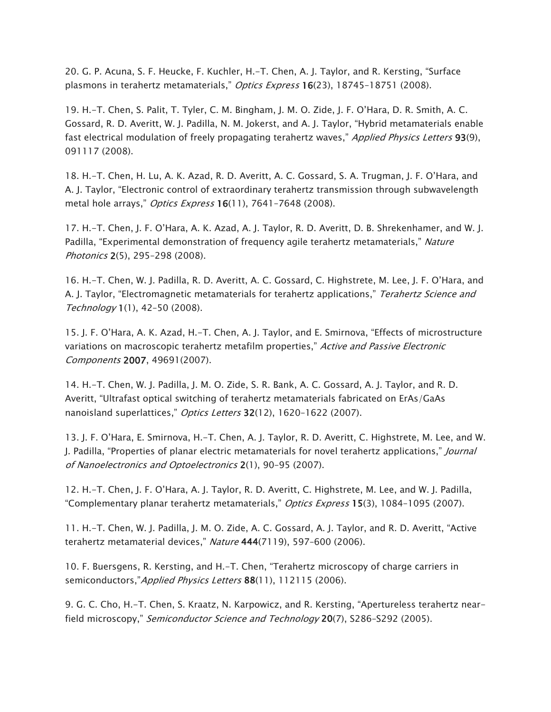20. G. P. Acuna, S. F. Heucke, F. Kuchler, H.-T. Chen, A. J. Taylor, and R. Kersting, "Surface plasmons in terahertz metamaterials," Optics Express 16(23), 18745-18751 (2008).

19. H.-T. Chen, S. Palit, T. Tyler, C. M. Bingham, J. M. O. Zide, J. F. O'Hara, D. R. Smith, A. C. Gossard, R. D. Averitt, W. J. Padilla, N. M. Jokerst, and A. J. Taylor, "Hybrid metamaterials enable fast electrical modulation of freely propagating terahertz waves," Applied Physics Letters 93(9), 091117 (2008).

18. H.-T. Chen, H. Lu, A. K. Azad, R. D. Averitt, A. C. Gossard, S. A. Trugman, J. F. O'Hara, and A. J. Taylor, "Electronic control of extraordinary terahertz transmission through subwavelength metal hole arrays," *Optics Express* 16(11), 7641-7648 (2008).

17. H.-T. Chen, J. F. O'Hara, A. K. Azad, A. J. Taylor, R. D. Averitt, D. B. Shrekenhamer, and W. J. Padilla, "Experimental demonstration of frequency agile terahertz metamaterials," Nature Photonics 2(5), 295–298 (2008).

16. H.-T. Chen, W. J. Padilla, R. D. Averitt, A. C. Gossard, C. Highstrete, M. Lee, J. F. O'Hara, and A. J. Taylor, "Electromagnetic metamaterials for terahertz applications," Terahertz Science and Technology 1(1), 42–50 (2008).

15. J. F. O'Hara, A. K. Azad, H.-T. Chen, A. J. Taylor, and E. Smirnova, "Effects of microstructure variations on macroscopic terahertz metafilm properties," Active and Passive Electronic Components 2007, 49691(2007).

14. H.-T. Chen, W. J. Padilla, J. M. O. Zide, S. R. Bank, A. C. Gossard, A. J. Taylor, and R. D. Averitt, "Ultrafast optical switching of terahertz metamaterials fabricated on ErAs/GaAs nanoisland superlattices," Optics Letters 32(12), 1620-1622 (2007).

13. J. F. O'Hara, E. Smirnova, H.-T. Chen, A. J. Taylor, R. D. Averitt, C. Highstrete, M. Lee, and W. J. Padilla, "Properties of planar electric metamaterials for novel terahertz applications," *Journal* of Nanoelectronics and Optoelectronics 2(1), 90–95 (2007).

12. H.-T. Chen, J. F. O'Hara, A. J. Taylor, R. D. Averitt, C. Highstrete, M. Lee, and W. J. Padilla, "Complementary planar terahertz metamaterials," Optics Express 15(3), 1084-1095 (2007).

11. H.-T. Chen, W. J. Padilla, J. M. O. Zide, A. C. Gossard, A. J. Taylor, and R. D. Averitt, "Active terahertz metamaterial devices," Nature 444(7119), 597-600 (2006).

10. F. Buersgens, R. Kersting, and H.-T. Chen, "Terahertz microscopy of charge carriers in semiconductors,"Applied Physics Letters 88(11), 112115 (2006).

9. G. C. Cho, H.-T. Chen, S. Kraatz, N. Karpowicz, and R. Kersting, "Apertureless terahertz nearfield microscopy," Semiconductor Science and Technology 20(7), S286-S292 (2005).